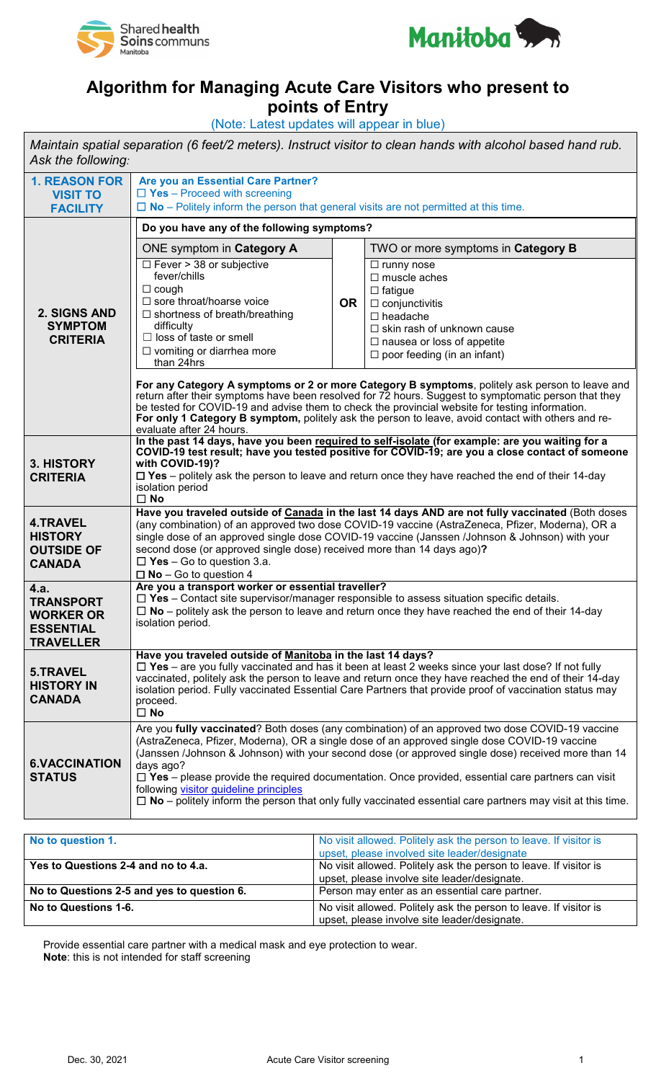



## **Algorithm for Managing Acute Care Visitors who present to**

**points of Entry**

(Note: Latest updates will appear in blue) *Maintain spatial separation (6 feet/2 meters). Instruct visitor to clean hands with alcohol based hand rub. Ask the following:*  **1. REASON FOR VISIT TO FACILITY Are you an Essential Care Partner?** ☐ **Yes** – Proceed with screening ☐ **No** – Politely inform the person that general visits are not permitted at this time. **2. SIGNS AND SYMPTOM CRITERIA Do you have any of the following symptoms?**  ONE symptom in **Category A OR** TWO or more symptoms in **Category B** ☐ Fever > 38 or subjective fever/chills ☐ cough ☐ sore throat/hoarse voice ☐ shortness of breath/breathing difficulty □ loss of taste or smell ☐ vomiting or diarrhea more than 24hrs ☐ runny nose ☐ muscle aches ☐ fatigue □ conjunctivitis ☐ headache ☐ skin rash of unknown cause □ nausea or loss of appetite  $\Box$  poor feeding (in an infant) **For any Category A symptoms or 2 or more Category B symptoms**, politely ask person to leave and return after their symptoms have been resolved for 72 hours. Suggest to symptomatic person that they be tested for COVID-19 and advise them to check the provincial website for testing information. For only 1 Category B symptom, politely ask the person to leave, avoid contact with others and reevaluate after 24 hours. **3. HISTORY CRITERIA In the past 14 days, have you been required to self-isolate (for example: are you waiting for a COVID-19 test result; have you tested positive for COVID-19; are you a close contact of someone with COVID-19)?** ☐ **Yes** – politely ask the person to leave and return once they have reached the end of their 14-day isolation period ☐ **No 4.TRAVEL HISTORY OUTSIDE OF CANADA Have you traveled outside of Canada in the last 14 days AND are not fully vaccinated** (Both doses (any combination) of an approved two dose COVID-19 vaccine (AstraZeneca, Pfizer, Moderna), OR a single dose of an approved single dose COVID-19 vaccine (Janssen /Johnson & Johnson) with your second dose (or approved single dose) received more than 14 days ago)**?** ☐ **Yes** – Go to question 3.a. ☐ **No** – Go to question 4 **4.a. TRANSPORT WORKER OR ESSENTIAL TRAVELLER Are you a transport worker or essential traveller?** ☐ **Yes** – Contact site supervisor/manager responsible to assess situation specific details. ☐ **No** – politely ask the person to leave and return once they have reached the end of their 14-day isolation period. **5.TRAVEL HISTORY IN CANADA Have you traveled outside of Manitoba in the last 14 days?** ☐ **Yes** – are you fully vaccinated and has it been at least 2 weeks since your last dose? If not fully vaccinated, politely ask the person to leave and return once they have reached the end of their 14-day isolation period. Fully vaccinated Essential Care Partners that provide proof of vaccination status may proceed. ☐ **No 6.VACCINATION STATUS** Are you **fully vaccinated**? Both doses (any combination) of an approved two dose COVID-19 vaccine (AstraZeneca, Pfizer, Moderna), OR a single dose of an approved single dose COVID-19 vaccine (Janssen /Johnson & Johnson) with your second dose (or approved single dose) received more than 14 days ago? ☐ **Yes** – please provide the required documentation. Once provided, essential care partners can visit following [visitor guideline principles](https://sharedhealthmb.ca/wp-content/uploads/covid-19-inpatient-visit-principles.pdf) ☐ **No** – politely inform the person that only fully vaccinated essential care partners may visit at this time.

| No to question 1.                          | No visit allowed. Politely ask the person to leave. If visitor is<br>upset, please involved site leader/designate |
|--------------------------------------------|-------------------------------------------------------------------------------------------------------------------|
| Yes to Questions 2-4 and no to 4.a.        | No visit allowed. Politely ask the person to leave. If visitor is<br>upset, please involve site leader/designate. |
| No to Questions 2-5 and yes to question 6. | Person may enter as an essential care partner.                                                                    |
| No to Questions 1-6.                       | No visit allowed. Politely ask the person to leave. If visitor is<br>upset, please involve site leader/designate. |

Provide essential care partner with a medical mask and eye protection to wear. **Note**: this is not intended for staff screening